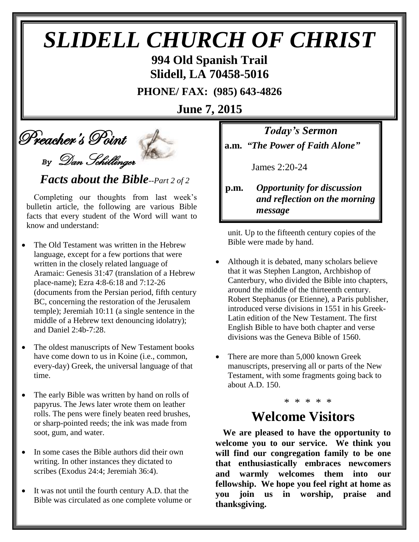# *SLIDELL CHURCH OF CHRIST*

**994 Old Spanish Trail Slidell, LA 70458-5016**

**PHONE/ FAX: (985) 643-4826**

**June 7, 2015**

Preacher's Point

*By* Dan Schillinger

 *Facts about the Bible--Part 2 of 2*

Completing our thoughts from last week's bulletin article, the following are various Bible facts that every student of the Word will want to know and understand:

- The Old Testament was written in the Hebrew language, except for a few portions that were written in the closely related language of Aramaic: Genesis 31:47 (translation of a Hebrew place-name); Ezra 4:8-6:18 and 7:12-26 (documents from the Persian period, fifth century BC, concerning the restoration of the Jerusalem temple); Jeremiah 10:11 (a single sentence in the middle of a Hebrew text denouncing idolatry); and Daniel 2:4b-7:28.
- The oldest manuscripts of New Testament books have come down to us in Koine (i.e., common, every-day) Greek, the universal language of that time.
- The early Bible was written by hand on rolls of papyrus. The Jews later wrote them on leather rolls. The pens were finely beaten reed brushes, or sharp-pointed reeds; the ink was made from soot, gum, and water.
- In some cases the Bible authors did their own writing. In other instances they dictated to scribes (Exodus 24:4; Jeremiah 36:4).
- It was not until the fourth century A.D. that the Bible was circulated as one complete volume or

*Today's Sermon* **a.m.** *"The Power of Faith Alone"*

James 2:20-24

#### **p.m.** *Opportunity for discussion*  *and reflection on the morning message*

unit. Up to the fifteenth century copies of the Bible were made by hand.

- Although it is debated, many scholars believe that it was Stephen Langton, Archbishop of Canterbury, who divided the Bible into chapters, around the middle of the thirteenth century. Robert Stephanus (or Etienne), a Paris publisher, introduced verse divisions in 1551 in his Greek-Latin edition of the New Testament. The first English Bible to have both chapter and verse divisions was the Geneva Bible of 1560.
- There are more than 5,000 known Greek manuscripts, preserving all or parts of the New Testament, with some fragments going back to about A.D. 150.

### \* \* \* \* \* **Welcome Visitors**

**We are pleased to have the opportunity to welcome you to our service. We think you will find our congregation family to be one that enthusiastically embraces newcomers and warmly welcomes them into our fellowship. We hope you feel right at home as you join us in worship, praise and thanksgiving.**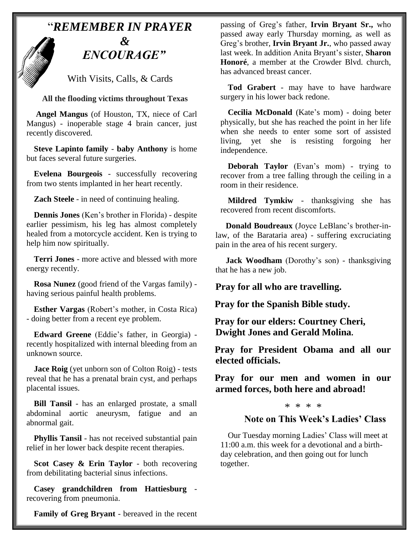# "*REMEMBER IN PRAYER &* " *ENCOURAGE"*

With Visits, Calls, & Cards

#### **All the flooding victims throughout Texas**

**Angel Mangus** (of Houston, TX, niece of Carl Mangus) - inoperable stage 4 brain cancer, just recently discovered.

**Steve Lapinto family** - **baby Anthony** is home but faces several future surgeries.

**Evelena Bourgeois** - successfully recovering from two stents implanted in her heart recently.

**Zach Steele** - in need of continuing healing.

**Dennis Jones** (Ken's brother in Florida) - despite earlier pessimism, his leg has almost completely healed from a motorcycle accident. Ken is trying to help him now spiritually.

**Terri Jones** - more active and blessed with more energy recently.

**Rosa Nunez** (good friend of the Vargas family) having serious painful health problems.

**Esther Vargas** (Robert's mother, in Costa Rica) - doing better from a recent eye problem.

**Edward Greene** (Eddie's father, in Georgia) recently hospitalized with internal bleeding from an unknown source.

**Jace Roig** (yet unborn son of Colton Roig) - tests reveal that he has a prenatal brain cyst, and perhaps placental issues.

**Bill Tansil** - has an enlarged prostate, a small abdominal aortic aneurysm, fatigue and an abnormal gait.

**Phyllis Tansil** - has not received substantial pain relief in her lower back despite recent therapies.

**Scot Casey & Erin Taylor** - both recovering from debilitating bacterial sinus infections.

**Casey grandchildren from Hattiesburg** recovering from pneumonia.

**Family of Greg Bryant** - bereaved in the recent

passing of Greg's father, **Irvin Bryant Sr.,** who passed away early Thursday morning, as well as Greg's brother, **Irvin Bryant Jr.**, who passed away last week. In addition Anita Bryant's sister, **Sharon Honoré**, a member at the Crowder Blvd. church, has advanced breast cancer.

**Tod Grabert** - may have to have hardware surgery in his lower back redone.

**Cecilia McDonald** (Kate's mom) - doing beter physically, but she has reached the point in her life when she needs to enter some sort of assisted living, yet she is resisting forgoing her independence.

**Deborah Taylor** (Evan's mom) - trying to recover from a tree falling through the ceiling in a room in their residence.

**Mildred Tymkiw** - thanksgiving she has recovered from recent discomforts.

 **Donald Boudreaux** (Joyce LeBlanc's brother-inlaw, of the Barataria area) - suffering excruciating pain in the area of his recent surgery.

**Jack Woodham** (Dorothy's son) - thanksgiving that he has a new job.

#### **Pray for all who are travelling.**

**Pray for the Spanish Bible study.**

**Pray for our elders: Courtney Cheri, Dwight Jones and Gerald Molina.**

**Pray for President Obama and all our elected officials.**

**Pray for our men and women in our armed forces, both here and abroad!**

#### \* \* \* \*

#### **Note on This Week's Ladies' Class**

Our Tuesday morning Ladies' Class will meet at 11:00 a.m. this week for a devotional and a birthday celebration, and then going out for lunch together.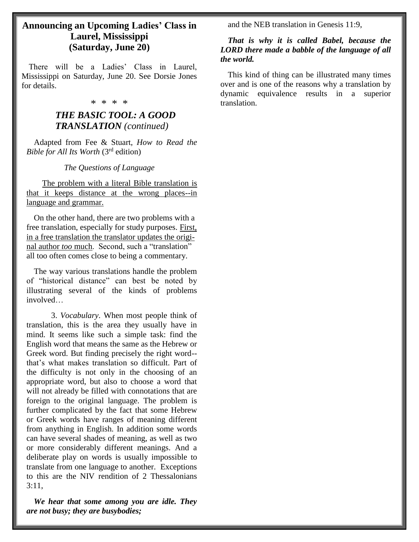#### **Announcing an Upcoming Ladies' Class in Laurel, Mississippi (Saturday, June 20)**

 There will be a Ladies' Class in Laurel, Mississippi on Saturday, June 20. See Dorsie Jones for details.

#### \* \* \* \*

#### *THE BASIC TOOL: A GOOD TRANSLATION (continued)*

Adapted from Fee & Stuart, *How to Read the Bible for All Its Worth* (3rd edition)

*The Questions of Language*

 The problem with a literal Bible translation is that it keeps distance at the wrong places--in language and grammar.

On the other hand, there are two problems with a free translation, especially for study purposes. First, in a free translation the translator updates the original author *too* much. Second, such a "translation" all too often comes close to being a commentary.

The way various translations handle the problem of "historical distance" can best be noted by illustrating several of the kinds of problems involved…

3. *Vocabulary*. When most people think of translation, this is the area they usually have in mind. It seems like such a simple task: find the English word that means the same as the Hebrew or Greek word. But finding precisely the right word- that's what makes translation so difficult. Part of the difficulty is not only in the choosing of an appropriate word, but also to choose a word that will not already be filled with connotations that are foreign to the original language. The problem is further complicated by the fact that some Hebrew or Greek words have ranges of meaning different from anything in English. In addition some words can have several shades of meaning, as well as two or more considerably different meanings. And a deliberate play on words is usually impossible to translate from one language to another. Exceptions to this are the NIV rendition of 2 Thessalonians  $3:11$ ,

*We hear that some among you are idle. They are not busy; they are busybodies;*

and the NEB translation in Genesis 11:9,

#### *That is why it is called Babel, because the LORD there made a babble of the language of all the world.*

This kind of thing can be illustrated many times over and is one of the reasons why a translation by dynamic equivalence results in a superior translation.